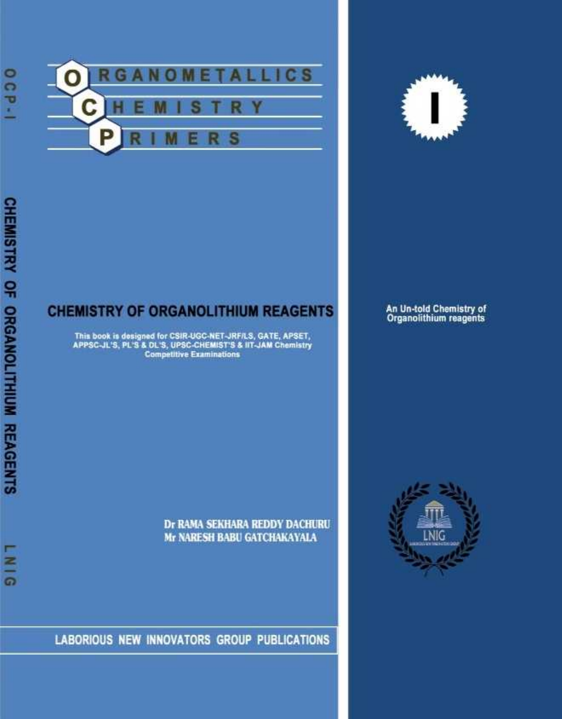



### **CHEMISTRY OF ORGANOLITHIUM REAGENTS**

This book is designed for CSIR-UGC-NET-JRF/LS, GATE, APSET,<br>APPSC-JL'S, PL'S & DL'S, UPSC-CHEMIST'S & IIT-JAM Chemistry<br>Competitive Examinations

An Un-told Chemistry of<br>Organolithium reagents

Dr RAMA SEKHARA REDDY DACHURU Mr NARESH BABU GATCHAKAYALA

LABORIOUS NEW INNOVATORS GROUP PUBLICATIONS



 $\frac{8}{2}$ 

 $\bullet$ 

 $\overline{a}$  $\overline{a}$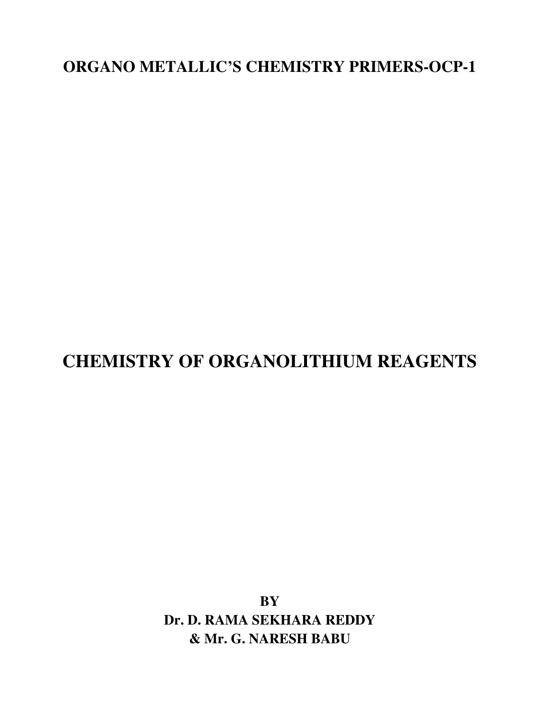**ORGANO METALLIC'S CHEMISTRY PRIMERS-OCP-1** 

# **CHEMISTRY OF ORGANOLITHIUM REAGENTS**

**BY Dr. D. RAMA SEKHARA REDDY & Mr. G. NARESH BABU**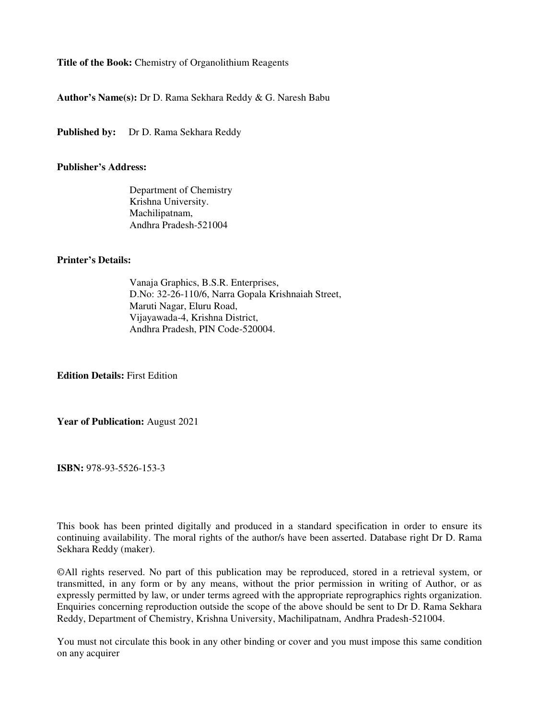**Title of the Book:** Chemistry of Organolithium Reagents

**Author's Name(s):** Dr D. Rama Sekhara Reddy & G. Naresh Babu

Published by: Dr D. Rama Sekhara Reddy

#### **Publisher's Address:**

Department of Chemistry Krishna University. Machilipatnam, Andhra Pradesh-521004

#### **Printer's Details:**

Vanaja Graphics, B.S.R. Enterprises, D.No: 32-26-110/6, Narra Gopala Krishnaiah Street, Maruti Nagar, Eluru Road, Vijayawada-4, Krishna District, Andhra Pradesh, PIN Code-520004.

**Edition Details:** First Edition

**Year of Publication:** August 2021

**ISBN:** 978-93-5526-153-3

This book has been printed digitally and produced in a standard specification in order to ensure its continuing availability. The moral rights of the author/s have been asserted. Database right Dr D. Rama Sekhara Reddy (maker).

©All rights reserved. No part of this publication may be reproduced, stored in a retrieval system, or transmitted, in any form or by any means, without the prior permission in writing of Author, or as expressly permitted by law, or under terms agreed with the appropriate reprographics rights organization. Enquiries concerning reproduction outside the scope of the above should be sent to Dr D. Rama Sekhara Reddy, Department of Chemistry, Krishna University, Machilipatnam, Andhra Pradesh-521004.

You must not circulate this book in any other binding or cover and you must impose this same condition on any acquirer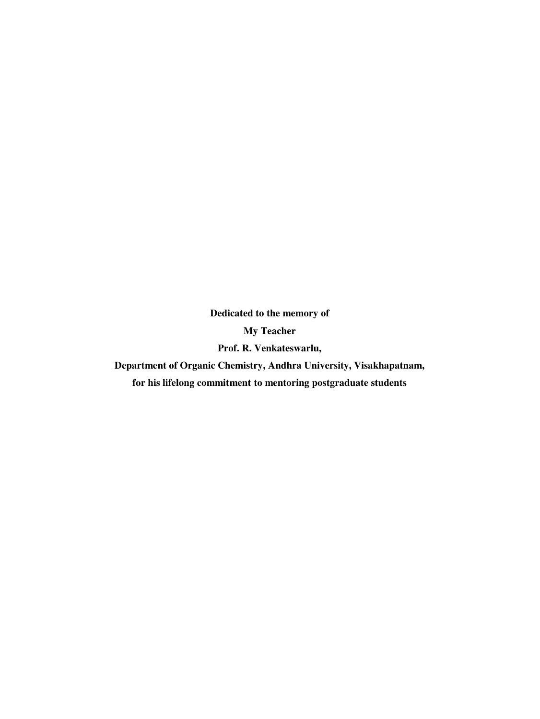**Dedicated to the memory of My Teacher Prof. R. Venkateswarlu,** 

**Department of Organic Chemistry, Andhra University, Visakhapatnam,** 

**for his lifelong commitment to mentoring postgraduate students**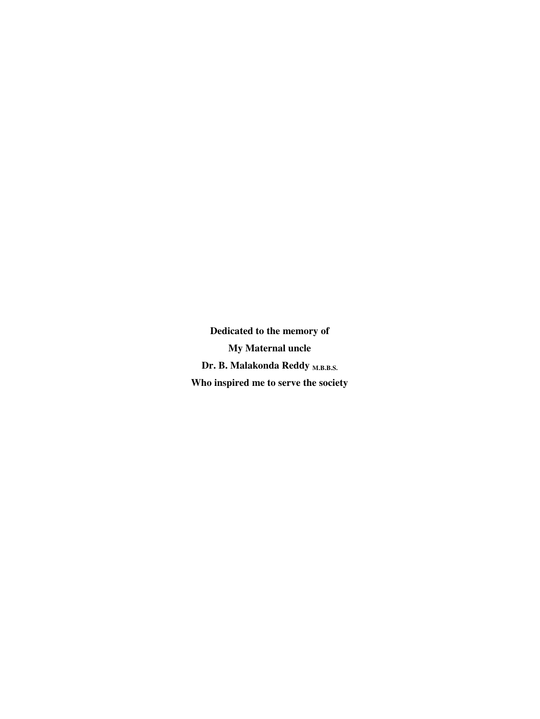**Dedicated to the memory of My Maternal uncle**  Dr. B. Malakonda Reddy <sub>M.B.B.S.</sub> **Who inspired me to serve the society**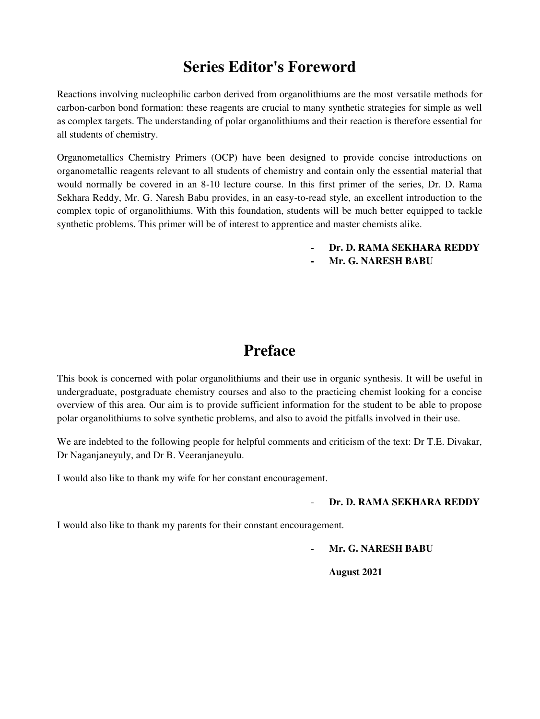# **Series Editor's Foreword**

Reactions involving nucleophilic carbon derived from organolithiums are the most versatile methods for carbon-carbon bond formation: these reagents are crucial to many synthetic strategies for simple as well as complex targets. The understanding of polar organolithiums and their reaction is therefore essential for all students of chemistry.

Organometallics Chemistry Primers (OCP) have been designed to provide concise introductions on organometallic reagents relevant to all students of chemistry and contain only the essential material that would normally be covered in an 8-10 lecture course. In this first primer of the series, Dr. D. Rama Sekhara Reddy, Mr. G. Naresh Babu provides, in an easy-to-read style, an excellent introduction to the complex topic of organolithiums. With this foundation, students will be much better equipped to tackle synthetic problems. This primer will be of interest to apprentice and master chemists alike.

- **- Dr. D. RAMA SEKHARA REDDY**
- **- Mr. G. NARESH BABU**

### **Preface**

This book is concerned with polar organolithiums and their use in organic synthesis. It will be useful in undergraduate, postgraduate chemistry courses and also to the practicing chemist looking for a concise overview of this area. Our aim is to provide sufficient information for the student to be able to propose polar organolithiums to solve synthetic problems, and also to avoid the pitfalls involved in their use.

We are indebted to the following people for helpful comments and criticism of the text: Dr T.E. Divakar, Dr Naganjaneyuly, and Dr B. Veeranjaneyulu.

I would also like to thank my wife for her constant encouragement.

#### - **Dr. D. RAMA SEKHARA REDDY**

I would also like to thank my parents for their constant encouragement.

- **Mr. G. NARESH BABU** 

**August 2021**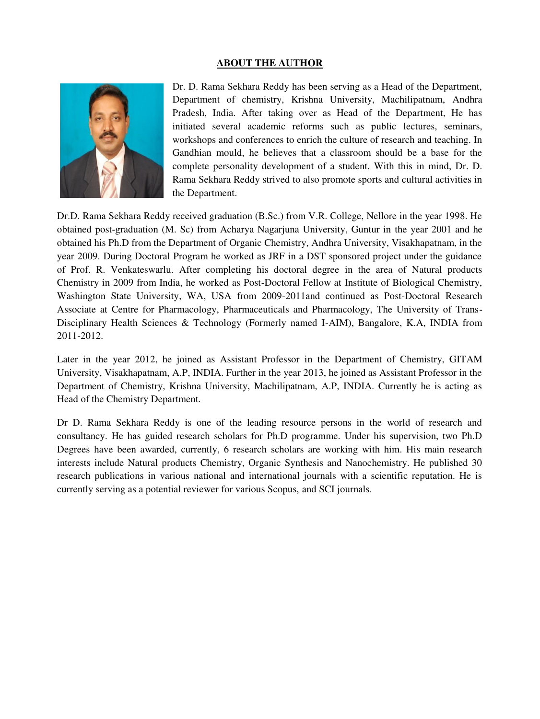#### **ABOUT THE AUTHOR**



Dr. D. Rama Sekhara Reddy has been serving as a Head of the Department, Department of chemistry, Krishna University, Machilipatnam, Andhra Pradesh, India. After taking over as Head of the Department, He has initiated several academic reforms such as public lectures, seminars, workshops and conferences to enrich the culture of research and teaching. In Gandhian mould, he believes that a classroom should be a base for the complete personality development of a student. With this in mind, Dr. D. Rama Sekhara Reddy strived to also promote sports and cultural activities in the Department.

Dr.D. Rama Sekhara Reddy received graduation (B.Sc.) from V.R. College, Nellore in the year 1998. He obtained post-graduation (M. Sc) from Acharya Nagarjuna University, Guntur in the year 2001 and he obtained his Ph.D from the Department of Organic Chemistry, Andhra University, Visakhapatnam, in the year 2009. During Doctoral Program he worked as JRF in a DST sponsored project under the guidance of Prof. R. Venkateswarlu. After completing his doctoral degree in the area of Natural products Chemistry in 2009 from India, he worked as Post-Doctoral Fellow at Institute of Biological Chemistry, Washington State University, WA, USA from 2009-2011and continued as Post-Doctoral Research Associate at Centre for Pharmacology, Pharmaceuticals and Pharmacology, The University of Trans-Disciplinary Health Sciences & Technology (Formerly named I-AIM), Bangalore, K.A, INDIA from 2011-2012.

Later in the year 2012, he joined as Assistant Professor in the Department of Chemistry, GITAM University, Visakhapatnam, A.P, INDIA. Further in the year 2013, he joined as Assistant Professor in the Department of Chemistry, Krishna University, Machilipatnam, A.P, INDIA. Currently he is acting as Head of the Chemistry Department.

Dr D. Rama Sekhara Reddy is one of the leading resource persons in the world of research and consultancy. He has guided research scholars for Ph.D programme. Under his supervision, two Ph.D Degrees have been awarded, currently, 6 research scholars are working with him. His main research interests include Natural products Chemistry, Organic Synthesis and Nanochemistry. He published 30 research publications in various national and international journals with a scientific reputation. He is currently serving as a potential reviewer for various Scopus, and SCI journals.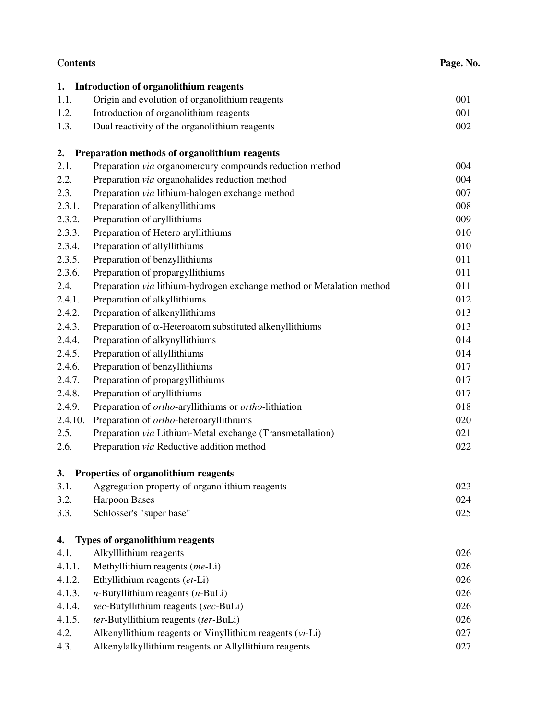| <b>Contents</b> |                                                                       | Page. No. |  |
|-----------------|-----------------------------------------------------------------------|-----------|--|
| 1.              | <b>Introduction of organolithium reagents</b>                         |           |  |
| 1.1.            | Origin and evolution of organolithium reagents                        | 001       |  |
| 1.2.            | Introduction of organolithium reagents                                | 001       |  |
| 1.3.            | Dual reactivity of the organolithium reagents                         | 002       |  |
| 2.              | Preparation methods of organolithium reagents                         |           |  |
| 2.1.            | Preparation via organomercury compounds reduction method              | 004       |  |
| 2.2.            | Preparation via organohalides reduction method                        | 004       |  |
| 2.3.            | Preparation via lithium-halogen exchange method                       | 007       |  |
| 2.3.1.          | Preparation of alkenyllithiums                                        | 008       |  |
| 2.3.2.          | Preparation of aryllithiums                                           | 009       |  |
| 2.3.3.          | Preparation of Hetero aryllithiums                                    | 010       |  |
| 2.3.4.          | Preparation of allyllithiums                                          | 010       |  |
| 2.3.5.          | Preparation of benzyllithiums                                         | 011       |  |
| 2.3.6.          | Preparation of propargyllithiums                                      | 011       |  |
| 2.4.            | Preparation via lithium-hydrogen exchange method or Metalation method | 011       |  |
| 2.4.1.          | Preparation of alkyllithiums                                          | 012       |  |
| 2.4.2.          | Preparation of alkenyllithiums                                        | 013       |  |
| 2.4.3.          | Preparation of $\alpha$ -Heteroatom substituted alkenyllithiums       | 013       |  |
| 2.4.4.          | Preparation of alkynyllithiums                                        | 014       |  |
| 2.4.5.          | Preparation of allyllithiums                                          | 014       |  |
| 2.4.6.          | Preparation of benzyllithiums                                         | 017       |  |
| 2.4.7.          | Preparation of propargyllithiums                                      | 017       |  |
| 2.4.8.          | Preparation of aryllithiums                                           | 017       |  |
| 2.4.9.          | Preparation of ortho-aryllithiums or ortho-lithiation                 | 018       |  |
| 2.4.10.         | Preparation of ortho-heteroaryllithiums                               | 020       |  |
| 2.5.            | Preparation via Lithium-Metal exchange (Transmetallation)             | 021       |  |
| 2.6.            | Preparation via Reductive addition method                             | 022       |  |
| 3.              | Properties of organolithium reagents                                  |           |  |
| 3.1.            | Aggregation property of organolithium reagents                        | 023       |  |
| 3.2.            | <b>Harpoon Bases</b>                                                  | 024       |  |
| 3.3.            | Schlosser's "super base"                                              | 025       |  |
| 4.              | Types of organolithium reagents                                       |           |  |
| 4.1.            | Alkylllithium reagents                                                | 026       |  |
| 4.1.1.          | Methyllithium reagents (me-Li)                                        | 026       |  |
| 4.1.2.          | Ethyllithium reagents (et-Li)                                         | 026       |  |
| 4.1.3.          | $n$ -Butyllithium reagents ( $n$ -BuLi)                               | 026       |  |
| 4.1.4.          | sec-Butyllithium reagents (sec-BuLi)                                  | 026       |  |
| 4.1.5.          | ter-Butyllithium reagents (ter-BuLi)                                  | 026       |  |
| 4.2.            | Alkenyllithium reagents or Vinyllithium reagents (vi-Li)              | 027       |  |
| 4.3.            | Alkenylalkyllithium reagents or Allyllithium reagents                 | 027       |  |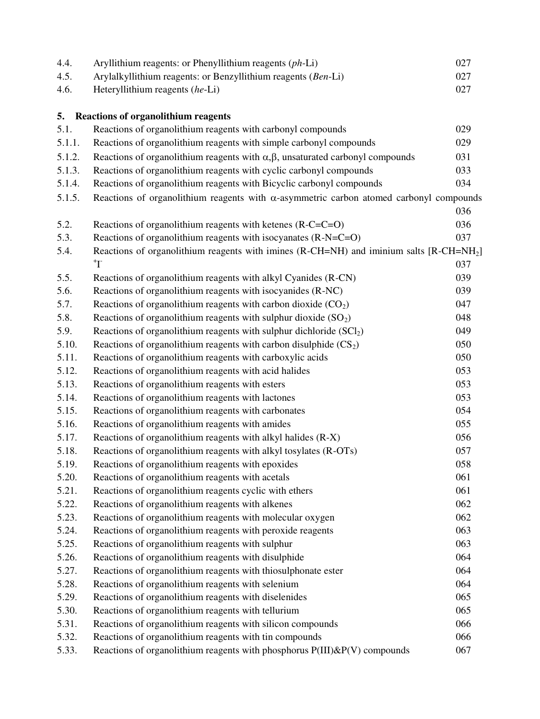| 4.4.   | Aryllithium reagents: or Phenyllithium reagents (ph-Li)                                             | 027 |  |
|--------|-----------------------------------------------------------------------------------------------------|-----|--|
| 4.5.   | Arylalkyllithium reagents: or Benzyllithium reagents (Ben-Li)                                       |     |  |
| 4.6.   | Heteryllithium reagents (he-Li)                                                                     |     |  |
|        |                                                                                                     |     |  |
| 5.     | <b>Reactions of organolithium reagents</b>                                                          |     |  |
| 5.1.   | Reactions of organolithium reagents with carbonyl compounds                                         | 029 |  |
| 5.1.1. | Reactions of organolithium reagents with simple carbonyl compounds                                  | 029 |  |
| 5.1.2. | Reactions of organolithium reagents with $\alpha, \beta$ , unsaturated carbonyl compounds           |     |  |
| 5.1.3. | Reactions of organolithium reagents with cyclic carbonyl compounds                                  | 033 |  |
| 5.1.4. | Reactions of organolithium reagents with Bicyclic carbonyl compounds                                |     |  |
| 5.1.5. | Reactions of organolithium reagents with $\alpha$ -asymmetric carbon atomed carbonyl compounds      |     |  |
|        |                                                                                                     | 036 |  |
| 5.2.   | Reactions of organolithium reagents with ketenes (R-C=C=O)                                          | 036 |  |
| 5.3.   | Reactions of organolithium reagents with isocyanates (R-N=C=O)                                      | 037 |  |
| 5.4.   | Reactions of organolithium reagents with imines (R-CH=NH) and iminium salts [R-CH=NH <sub>2</sub> ] |     |  |
|        | $T^+$                                                                                               | 037 |  |
| 5.5.   | Reactions of organolithium reagents with alkyl Cyanides (R-CN)                                      | 039 |  |
| 5.6.   | Reactions of organolithium reagents with isocyanides (R-NC)                                         | 039 |  |
| 5.7.   | Reactions of organolithium reagents with carbon dioxide $(CO2)$                                     | 047 |  |
| 5.8.   | Reactions of organolithium reagents with sulphur dioxide $(SO2)$                                    | 048 |  |
| 5.9.   | Reactions of organolithium reagents with sulphur dichloride $(SCl2)$                                | 049 |  |
| 5.10.  | Reactions of organolithium reagents with carbon disulphide $(CS_2)$                                 | 050 |  |
| 5.11.  | Reactions of organolithium reagents with carboxylic acids                                           | 050 |  |
| 5.12.  | Reactions of organolithium reagents with acid halides                                               | 053 |  |
| 5.13.  | Reactions of organolithium reagents with esters                                                     | 053 |  |
| 5.14.  | Reactions of organolithium reagents with lactones                                                   | 053 |  |
| 5.15.  | Reactions of organolithium reagents with carbonates                                                 | 054 |  |
| 5.16.  | Reactions of organolithium reagents with amides                                                     | 055 |  |
| 5.17.  | Reactions of organolithium reagents with alkyl halides (R-X)                                        | 056 |  |
| 5.18.  | Reactions of organolithium reagents with alkyl tosylates (R-OTs)                                    | 057 |  |
| 5.19.  | Reactions of organolithium reagents with epoxides                                                   | 058 |  |
| 5.20.  | Reactions of organolithium reagents with acetals                                                    | 061 |  |
| 5.21.  | Reactions of organolithium reagents cyclic with ethers                                              | 061 |  |
| 5.22.  | Reactions of organolithium reagents with alkenes                                                    | 062 |  |
| 5.23.  | Reactions of organolithium reagents with molecular oxygen                                           | 062 |  |
| 5.24.  | Reactions of organolithium reagents with peroxide reagents                                          | 063 |  |
| 5.25.  | Reactions of organolithium reagents with sulphur                                                    | 063 |  |
| 5.26.  | Reactions of organolithium reagents with disulphide                                                 | 064 |  |
| 5.27.  | Reactions of organolithium reagents with thiosulphonate ester                                       | 064 |  |
| 5.28.  | Reactions of organolithium reagents with selenium                                                   | 064 |  |
| 5.29.  | Reactions of organolithium reagents with diselenides                                                | 065 |  |
| 5.30.  | Reactions of organolithium reagents with tellurium                                                  | 065 |  |
| 5.31.  | Reactions of organolithium reagents with silicon compounds                                          | 066 |  |
| 5.32.  | Reactions of organolithium reagents with tin compounds                                              | 066 |  |
| 5.33.  | Reactions of organolithium reagents with phosphorus P(III)&P(V) compounds                           | 067 |  |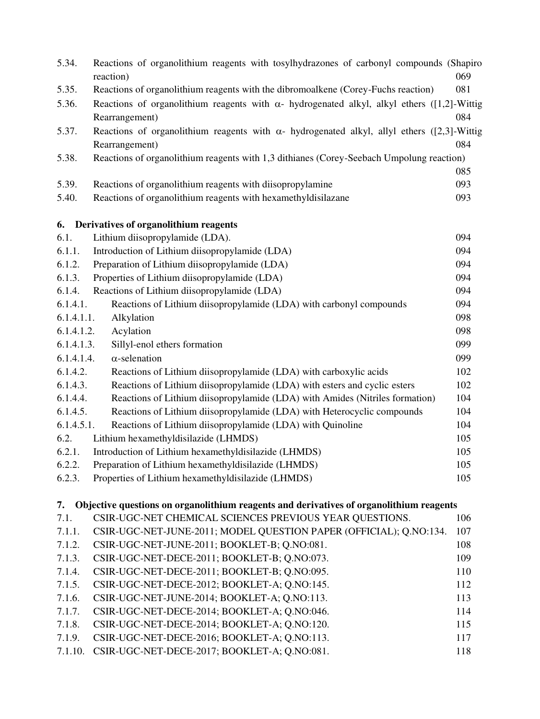| 5.34.                                                                                      | Reactions of organolithium reagents with tosylhydrazones of carbonyl compounds (Shapiro                              |            |  |  |  |
|--------------------------------------------------------------------------------------------|----------------------------------------------------------------------------------------------------------------------|------------|--|--|--|
|                                                                                            | reaction)                                                                                                            | 069        |  |  |  |
| 5.35.                                                                                      | Reactions of organolithium reagents with the dibromoalkene (Corey-Fuchs reaction)                                    | 081        |  |  |  |
| 5.36.                                                                                      | Reactions of organolithium reagents with $\alpha$ - hydrogenated alkyl, alkyl ethers ([1,2]-Wittig<br>Rearrangement) | 084        |  |  |  |
| 5.37.                                                                                      | Reactions of organolithium reagents with $\alpha$ - hydrogenated alkyl, allyl ethers ([2,3]-Wittig                   |            |  |  |  |
|                                                                                            | Rearrangement)                                                                                                       | 084        |  |  |  |
| 5.38.                                                                                      | Reactions of organolithium reagents with 1,3 dithianes (Corey-Seebach Umpolung reaction)                             |            |  |  |  |
|                                                                                            |                                                                                                                      | 085        |  |  |  |
| 5.39.                                                                                      | Reactions of organolithium reagents with diisopropylamine                                                            | 093        |  |  |  |
| 5.40.                                                                                      | Reactions of organolithium reagents with hexamethyldisilazane                                                        | 093        |  |  |  |
|                                                                                            |                                                                                                                      |            |  |  |  |
| 6.                                                                                         | Derivatives of organolithium reagents                                                                                |            |  |  |  |
| 6.1.<br>6.1.1.                                                                             | Lithium diisopropylamide (LDA).                                                                                      | 094<br>094 |  |  |  |
|                                                                                            | Introduction of Lithium diisopropylamide (LDA)                                                                       |            |  |  |  |
| 6.1.2.                                                                                     | Preparation of Lithium diisopropylamide (LDA)                                                                        | 094        |  |  |  |
| 6.1.3.                                                                                     | Properties of Lithium diisopropylamide (LDA)                                                                         | 094        |  |  |  |
| 6.1.4.                                                                                     | Reactions of Lithium diisopropylamide (LDA)                                                                          | 094        |  |  |  |
| 6.1.4.1.                                                                                   | Reactions of Lithium diisopropylamide (LDA) with carbonyl compounds                                                  | 094        |  |  |  |
| 6.1.4.1.1.                                                                                 | Alkylation                                                                                                           | 098        |  |  |  |
| 6.1.4.1.2.                                                                                 | Acylation                                                                                                            | 098        |  |  |  |
| 6.1.4.1.3.                                                                                 | Sillyl-enol ethers formation                                                                                         | 099        |  |  |  |
| 6.1.4.1.4.                                                                                 | $\alpha$ -selenation                                                                                                 | 099        |  |  |  |
| 6.1.4.2.                                                                                   | Reactions of Lithium diisopropylamide (LDA) with carboxylic acids                                                    | 102        |  |  |  |
| 6.1.4.3.                                                                                   | Reactions of Lithium diisopropylamide (LDA) with esters and cyclic esters                                            | 102        |  |  |  |
| 6.1.4.4.                                                                                   | Reactions of Lithium diisopropylamide (LDA) with Amides (Nitriles formation)                                         | 104        |  |  |  |
| 6.1.4.5.                                                                                   | Reactions of Lithium diisopropylamide (LDA) with Heterocyclic compounds                                              | 104        |  |  |  |
| 6.1.4.5.1.                                                                                 | Reactions of Lithium diisopropylamide (LDA) with Quinoline                                                           | 104        |  |  |  |
| 6.2.                                                                                       | Lithium hexamethyldisilazide (LHMDS)                                                                                 | 105        |  |  |  |
| 6.2.1.                                                                                     | Introduction of Lithium hexamethyldisilazide (LHMDS)                                                                 | 105        |  |  |  |
| 6.2.2.                                                                                     | Preparation of Lithium hexamethyldisilazide (LHMDS)                                                                  | 105        |  |  |  |
| 6.2.3.                                                                                     | Properties of Lithium hexamethyldisilazide (LHMDS)                                                                   | 105        |  |  |  |
| 7. Objective questions on organolithium reagents and derivatives of organolithium reagents |                                                                                                                      |            |  |  |  |
| 7.1.                                                                                       | CSIR-UGC-NET CHEMICAL SCIENCES PREVIOUS YEAR QUESTIONS.                                                              | 106        |  |  |  |
| 7.1.1.                                                                                     | CSIR-UGC-NET-JUNE-2011; MODEL QUESTION PAPER (OFFICIAL); Q.NO:134.                                                   | 107        |  |  |  |
| 7.1.2.                                                                                     | CSIR-UGC-NET-JUNE-2011; BOOKLET-B; Q.NO:081.                                                                         | 108        |  |  |  |
| 7.1.3.                                                                                     | CSIR-UGC-NET-DECE-2011; BOOKLET-B; Q.NO:073.                                                                         | 109        |  |  |  |
| 7.1.4.                                                                                     | CSIR-UGC-NET-DECE-2011; BOOKLET-B; Q.NO:095.                                                                         | 110        |  |  |  |
| 7.1.5.                                                                                     | CSIR-UGC-NET-DECE-2012; BOOKLET-A; Q.NO:145.                                                                         | 112        |  |  |  |
| 7.1.6.                                                                                     | CSIR-UGC-NET-JUNE-2014; BOOKLET-A; Q.NO:113.                                                                         | 113        |  |  |  |
| 7.1.7.                                                                                     | CSIR-UGC-NET-DECE-2014; BOOKLET-A; Q.NO:046.                                                                         | 114        |  |  |  |
| 7.1.8.                                                                                     | CSIR-UGC-NET-DECE-2014; BOOKLET-A; Q.NO:120.                                                                         | 115        |  |  |  |
| 7.1.9.                                                                                     | CSIR-UGC-NET-DECE-2016; BOOKLET-A; Q.NO:113.                                                                         | 117        |  |  |  |
| 7.1.10.                                                                                    | CSIR-UGC-NET-DECE-2017; BOOKLET-A; Q.NO:081.                                                                         | 118        |  |  |  |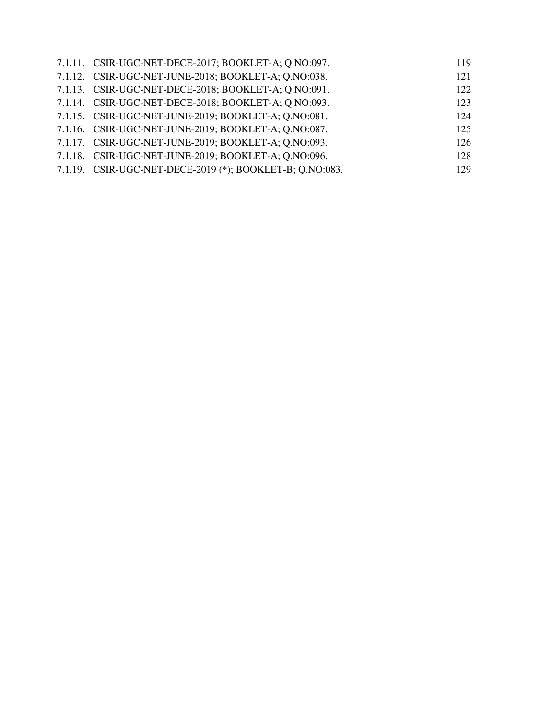| 7.1.11. CSIR-UGC-NET-DECE-2017; BOOKLET-A; Q.NO:097.     | 119 |
|----------------------------------------------------------|-----|
| 7.1.12. CSIR-UGC-NET-JUNE-2018; BOOKLET-A; Q.NO:038.     | 121 |
| 7.1.13. CSIR-UGC-NET-DECE-2018; BOOKLET-A; Q.NO:091.     | 122 |
| 7.1.14. CSIR-UGC-NET-DECE-2018; BOOKLET-A; Q.NO:093.     | 123 |
| 7.1.15. CSIR-UGC-NET-JUNE-2019; BOOKLET-A; Q.NO:081.     | 124 |
| 7.1.16. CSIR-UGC-NET-JUNE-2019; BOOKLET-A; Q.NO:087.     | 125 |
| 7.1.17. CSIR-UGC-NET-JUNE-2019; BOOKLET-A; Q.NO:093.     | 126 |
| 7.1.18. CSIR-UGC-NET-JUNE-2019; BOOKLET-A; Q.NO:096.     | 128 |
| 7.1.19. CSIR-UGC-NET-DECE-2019 (*); BOOKLET-B; Q.NO:083. | 129 |
|                                                          |     |